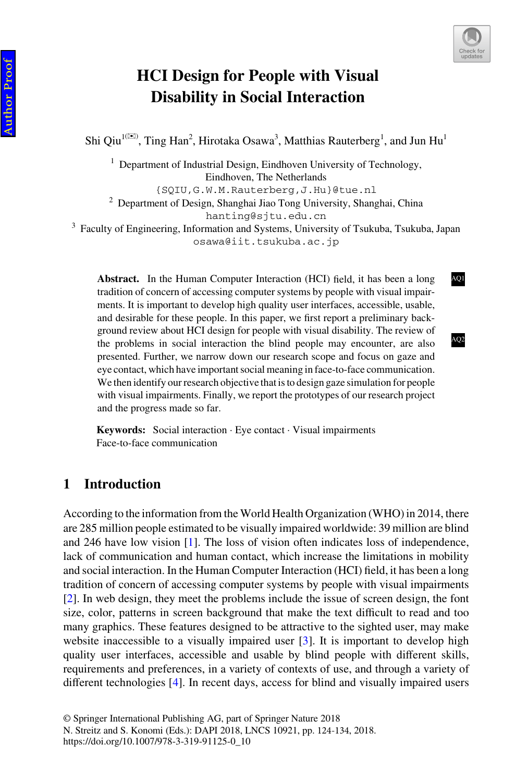

[AQ1](#page--1-0)

[AQ2](#page--1-0)

# **HCI Design for People with Visual Disability in Social Interaction**

Shi Qiu<sup>1( $\boxtimes$ )</sup>, Ting Han<sup>2</sup>, Hirotaka Osawa<sup>3</sup>, Matthias Rauterberg<sup>1</sup>, and Jun Hu<sup>1</sup>

<sup>1</sup> Department of Industrial Design, Eindhoven University of Technology, Eindhoven, The Netherlands

{SQIU,G.W.M.Rauterberg,J.Hu}@tue.nl

<sup>2</sup> Department of Design, Shanghai Jiao Tong University, Shanghai, China hanting@sjtu.edu.cn

<sup>3</sup> Faculty of Engineering, Information and Systems, University of Tsukuba, Tsukuba, Japan osawa@iit.tsukuba.ac.jp

**Abstract.** In the Human Computer Interaction (HCI) field, it has been a long tradition of concern of accessing computer systems by people with visual impair‐ ments. It is important to develop high quality user interfaces, accessible, usable, and desirable for these people. In this paper, we first report a preliminary back– ground review about HCI design for people with visual disability. The review of the problems in social interaction the blind people may encounter, are also presented. Further, we narrow down our research scope and focus on gaze and eye contact, which have important social meaning in face-to-face communication. We then identify our research objective that is to design gaze simulation for people with visual impairments. Finally, we report the prototypes of our research project and the progress made so far.

**Keywords:** Social interaction · Eye contact · Visual impairments Face-to-face communication

# **1 Introduction**

According to the information from the World Health Organization (WHO) in 2014, there are 285 million people estimated to be visually impaired worldwide: 39 million are blind and 246 have low vision [\[1](#page-9-0)]. The loss of vision often indicates loss of independence, lack of communication and human contact, which increase the limitations in mobility and social interaction. In the Human Computer Interaction (HCI) field, it has been a long tradition of concern of accessing computer systems by people with visual impairments [\[2](#page-9-0)]. In web design, they meet the problems include the issue of screen design, the font size, color, patterns in screen background that make the text difficult to read and too many graphics. These features designed to be attractive to the sighted user, may make website inaccessible to a visually impaired user  $[3]$  $[3]$ . It is important to develop high quality user interfaces, accessible and usable by blind people with different skills, requirements and preferences, in a variety of contexts of use, and through a variety of different technologies [\[4](#page-9-0)]. In recent days, access for blind and visually impaired users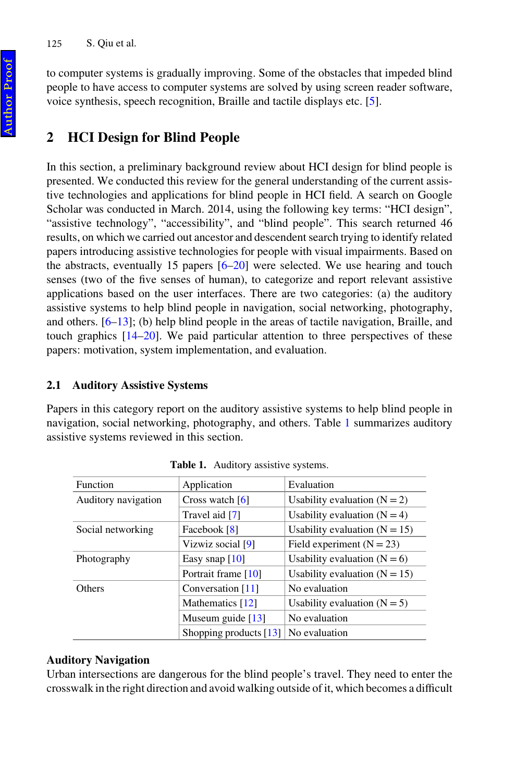to computer systems is gradually improving. Some of the obstacles that impeded blind people to have access to computer systems are solved by using screen reader software, voice synthesis, speech recognition, Braille and tactile displays etc. [[5\]](#page-9-0).

# **2 HCI Design for Blind People**

In this section, a preliminary background review about HCI design for blind people is presented. We conducted this review for the general understanding of the current assis‐ tive technologies and applications for blind people in HCI field. A search on Google Scholar was conducted in March. 2014, using the following key terms: "HCI design", "assistive technology", "accessibility", and "blind people". This search returned 46 results, on which we carried out ancestor and descendent search trying to identify related papers introducing assistive technologies for people with visual impairments. Based on the abstracts, eventually 15 papers  $[6–20]$  $[6–20]$  $[6–20]$  were selected. We use hearing and touch senses (two of the five senses of human), to categorize and report relevant assistive applications based on the user interfaces. There are two categories: (a) the auditory assistive systems to help blind people in navigation, social networking, photography, and others. [[6–13\]](#page-9-0); (b) help blind people in the areas of tactile navigation, Braille, and touch graphics  $[14–20]$  $[14–20]$ . We paid particular attention to three perspectives of these papers: motivation, system implementation, and evaluation.

### **2.1 Auditory Assistive Systems**

Papers in this category report on the auditory assistive systems to help blind people in navigation, social networking, photography, and others. Table 1 summarizes auditory assistive systems reviewed in this section.

| Function            | Application              | Evaluation                      |
|---------------------|--------------------------|---------------------------------|
| Auditory navigation | Cross watch $[6]$        | Usability evaluation $(N = 2)$  |
|                     | Travel aid [7]           | Usability evaluation $(N = 4)$  |
| Social networking   | Facebook [8]             | Usability evaluation $(N = 15)$ |
|                     | Vizwiz social [9]        | Field experiment $(N = 23)$     |
| Photography         | Easy snap $[10]$         | Usability evaluation $(N = 6)$  |
|                     | Portrait frame [10]      | Usability evaluation $(N = 15)$ |
| <b>Others</b>       | Conversation [11]        | No evaluation                   |
|                     | Mathematics [12]         | Usability evaluation $(N = 5)$  |
|                     | Museum guide $[13]$      | No evaluation                   |
|                     | Shopping products $[13]$ | No evaluation                   |

**Table 1.** Auditory assistive systems.

# **Auditory Navigation**

Urban intersections are dangerous for the blind people's travel. They need to enter the crosswalk in the right direction and avoid walking outside of it, which becomes a difficult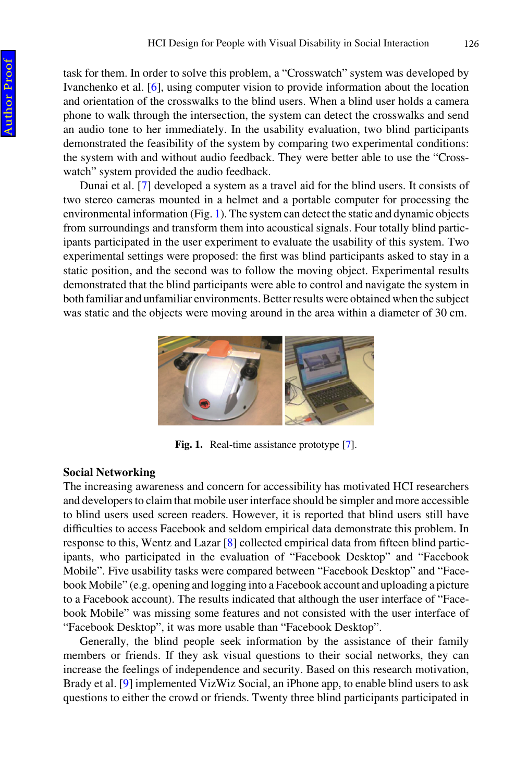task for them. In order to solve this problem, a "Crosswatch" system was developed by Ivanchenko et al. [[6\]](#page-9-0), using computer vision to provide information about the location and orientation of the crosswalks to the blind users. When a blind user holds a camera phone to walk through the intersection, the system can detect the crosswalks and send an audio tone to her immediately. In the usability evaluation, two blind participants demonstrated the feasibility of the system by comparing two experimental conditions: the system with and without audio feedback. They were better able to use the "Cross‐ watch" system provided the audio feedback.

Dunai et al. [\[7\]](#page-9-0) developed a system as a travel aid for the blind users. It consists of two stereo cameras mounted in a helmet and a portable computer for processing the environmental information (Fig. 1). The system can detect the static and dynamic objects from surroundings and transform them into acoustical signals. Four totally blind partic‐ ipants participated in the user experiment to evaluate the usability of this system. Two experimental settings were proposed: the first was blind participants asked to stay in a static position, and the second was to follow the moving object. Experimental results demonstrated that the blind participants were able to control and navigate the system in both familiar and unfamiliar environments. Better results were obtained when the subject was static and the objects were moving around in the area within a diameter of 30 cm.



**Fig. 1.** Real-time assistance prototype [[7](#page-9-0)].

#### **Social Networking**

The increasing awareness and concern for accessibility has motivated HCI researchers and developers to claim that mobile user interface should be simpler and more accessible to blind users used screen readers. However, it is reported that blind users still have difficulties to access Facebook and seldom empirical data demonstrate this problem. In response to this, Wentz and Lazar [[8](#page-9-0)] collected empirical data from fifteen blind participants, who participated in the evaluation of "Facebook Desktop" and "Facebook Mobile". Five usability tasks were compared between "Facebook Desktop" and "Facebook Mobile" (e.g. opening and logging into a Facebook account and uploading a picture to a Facebook account). The results indicated that although the user interface of "Facebook Mobile" was missing some features and not consisted with the user interface of "Facebook Desktop", it was more usable than "Facebook Desktop".

Generally, the blind people seek information by the assistance of their family members or friends. If they ask visual questions to their social networks, they can increase the feelings of independence and security. Based on this research motivation, Brady et al. [[9\]](#page-9-0) implemented VizWiz Social, an iPhone app, to enable blind users to ask questions to either the crowd or friends. Twenty three blind participants participated in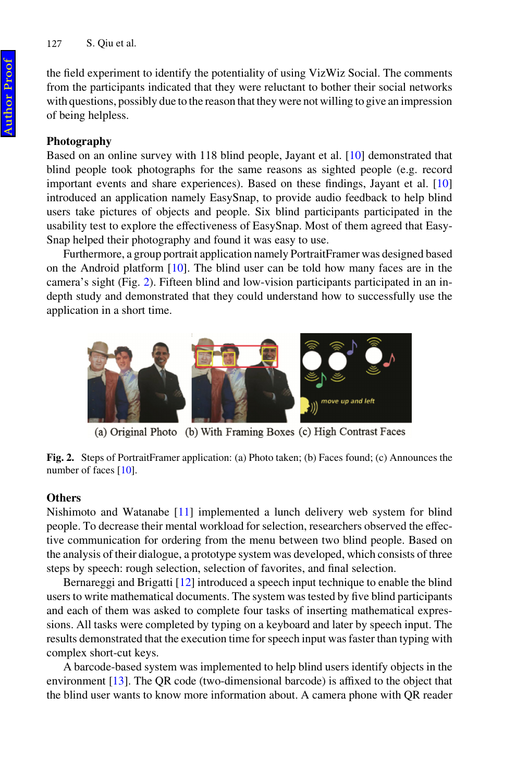the field experiment to identify the potentiality of using VizWiz Social. The comments from the participants indicated that they were reluctant to bother their social networks with questions, possibly due to the reason that they were not willing to give an impression of being helpless.

#### **Photography**

Based on an online survey with 118 blind people, Jayant et al. [[10\]](#page-9-0) demonstrated that blind people took photographs for the same reasons as sighted people (e.g. record important events and share experiences). Based on these findings, Jayant et al. [\[10](#page-9-0)] introduced an application namely EasySnap, to provide audio feedback to help blind users take pictures of objects and people. Six blind participants participated in the usability test to explore the effectiveness of EasySnap. Most of them agreed that Easy-Snap helped their photography and found it was easy to use.

Furthermore, a group portrait application namely PortraitFramer was designed based on the Android platform [\[10](#page-9-0)]. The blind user can be told how many faces are in the camera's sight (Fig. 2). Fifteen blind and low-vision participants participated in an indepth study and demonstrated that they could understand how to successfully use the application in a short time.



(a) Original Photo (b) With Framing Boxes (c) High Contrast Faces



#### **Others**

Nishimoto and Watanabe [[11\]](#page-9-0) implemented a lunch delivery web system for blind people. To decrease their mental workload for selection, researchers observed the effec‐ tive communication for ordering from the menu between two blind people. Based on the analysis of their dialogue, a prototype system was developed, which consists of three steps by speech: rough selection, selection of favorites, and final selection.

Bernareggi and Brigatti [[12\]](#page-9-0) introduced a speech input technique to enable the blind users to write mathematical documents. The system was tested by five blind participants and each of them was asked to complete four tasks of inserting mathematical expres‐ sions. All tasks were completed by typing on a keyboard and later by speech input. The results demonstrated that the execution time for speech input was faster than typing with complex short-cut keys.

A barcode-based system was implemented to help blind users identify objects in the environment [\[13\]](#page-9-0). The QR code (two-dimensional barcode) is affixed to the object that the blind user wants to know more information about. A camera phone with QR reader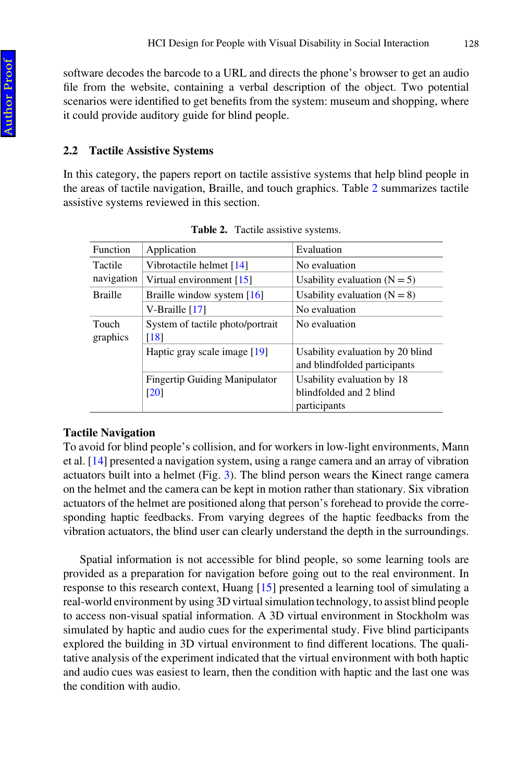software decodes the barcode to a URL and directs the phone's browser to get an audio file from the website, containing a verbal description of the object. Two potential scenarios were identified to get benefits from the system: museum and shopping, where it could provide auditory guide for blind people.

### **2.2 Tactile Assistive Systems**

In this category, the papers report on tactile assistive systems that help blind people in the areas of tactile navigation, Braille, and touch graphics. Table 2 summarizes tactile assistive systems reviewed in this section.

| <b>Function</b>   | Application                                                | Evaluation                                                            |  |
|-------------------|------------------------------------------------------------|-----------------------------------------------------------------------|--|
| Tactile           | Vibrotactile helmet [14]                                   | No evaluation                                                         |  |
| navigation        | Virtual environment [15]                                   | Usability evaluation $(N = 5)$                                        |  |
| <b>Braille</b>    | Braille window system [16]                                 | Usability evaluation $(N = 8)$                                        |  |
|                   | V-Braille $[17]$                                           | No evaluation                                                         |  |
| Touch<br>graphics | System of tactile photo/portrait<br>[18]                   | No evaluation                                                         |  |
|                   | Haptic gray scale image [19]                               | Usability evaluation by 20 blind<br>and blindfolded participants      |  |
|                   | <b>Fingertip Guiding Manipulator</b><br>$\lceil 20 \rceil$ | Usability evaluation by 18<br>blindfolded and 2 blind<br>participants |  |

**Table 2.** Tactile assistive systems.

# **Tactile Navigation**

To avoid for blind people's collision, and for workers in low-light environments, Mann et al. [\[14](#page-10-0)] presented a navigation system, using a range camera and an array of vibration actuators built into a helmet (Fig. [3\)](#page-5-0). The blind person wears the Kinect range camera on the helmet and the camera can be kept in motion rather than stationary. Six vibration actuators of the helmet are positioned along that person's forehead to provide the corre‐ sponding haptic feedbacks. From varying degrees of the haptic feedbacks from the vibration actuators, the blind user can clearly understand the depth in the surroundings.

Spatial information is not accessible for blind people, so some learning tools are provided as a preparation for navigation before going out to the real environment. In response to this research context, Huang [[15\]](#page-10-0) presented a learning tool of simulating a real-world environment by using 3D virtual simulation technology, to assist blind people to access non-visual spatial information. A 3D virtual environment in Stockholm was simulated by haptic and audio cues for the experimental study. Five blind participants explored the building in 3D virtual environment to find different locations. The qualitative analysis of the experiment indicated that the virtual environment with both haptic and audio cues was easiest to learn, then the condition with haptic and the last one was the condition with audio.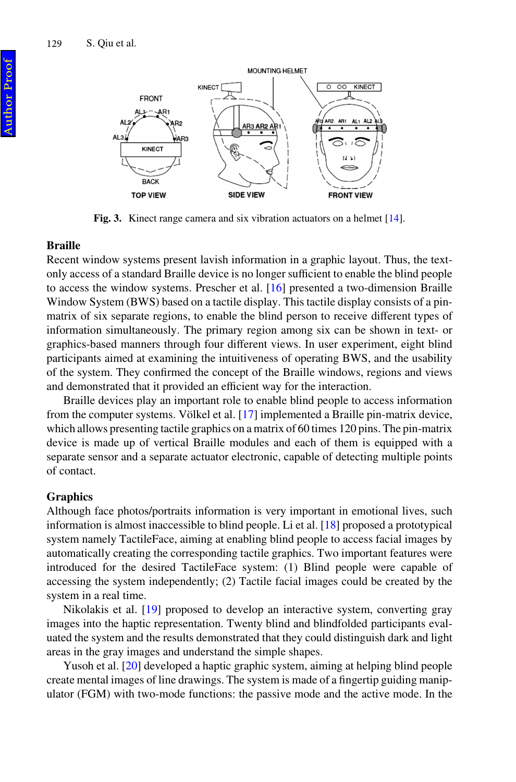<span id="page-5-0"></span>

Fig. 3. Kinect range camera and six vibration actuators on a helmet [\[14](#page-10-0)].

#### **Braille**

Recent window systems present lavish information in a graphic layout. Thus, the textonly access of a standard Braille device is no longer sufficient to enable the blind people to access the window systems. Prescher et al. [\[16](#page-10-0)] presented a two-dimension Braille Window System (BWS) based on a tactile display. This tactile display consists of a pinmatrix of six separate regions, to enable the blind person to receive different types of information simultaneously. The primary region among six can be shown in text- or graphics-based manners through four different views. In user experiment, eight blind participants aimed at examining the intuitiveness of operating BWS, and the usability of the system. They confirmed the concept of the Braille windows, regions and views and demonstrated that it provided an efficient way for the interaction.

Braille devices play an important role to enable blind people to access information from the computer systems. Völkel et al. [\[17](#page-10-0)] implemented a Braille pin-matrix device, which allows presenting tactile graphics on a matrix of 60 times 120 pins. The pin-matrix device is made up of vertical Braille modules and each of them is equipped with a separate sensor and a separate actuator electronic, capable of detecting multiple points of contact.

#### **Graphics**

Although face photos/portraits information is very important in emotional lives, such information is almost inaccessible to blind people. Li et al. [\[18](#page-10-0)] proposed a prototypical system namely TactileFace, aiming at enabling blind people to access facial images by automatically creating the corresponding tactile graphics. Two important features were introduced for the desired TactileFace system: (1) Blind people were capable of accessing the system independently; (2) Tactile facial images could be created by the system in a real time.

Nikolakis et al. [\[19](#page-10-0)] proposed to develop an interactive system, converting gray images into the haptic representation. Twenty blind and blindfolded participants eval– uated the system and the results demonstrated that they could distinguish dark and light areas in the gray images and understand the simple shapes.

Yusoh et al. [\[20](#page-10-0)] developed a haptic graphic system, aiming at helping blind people create mental images of line drawings. The system is made of a fingertip guiding manipulator (FGM) with two-mode functions: the passive mode and the active mode. In the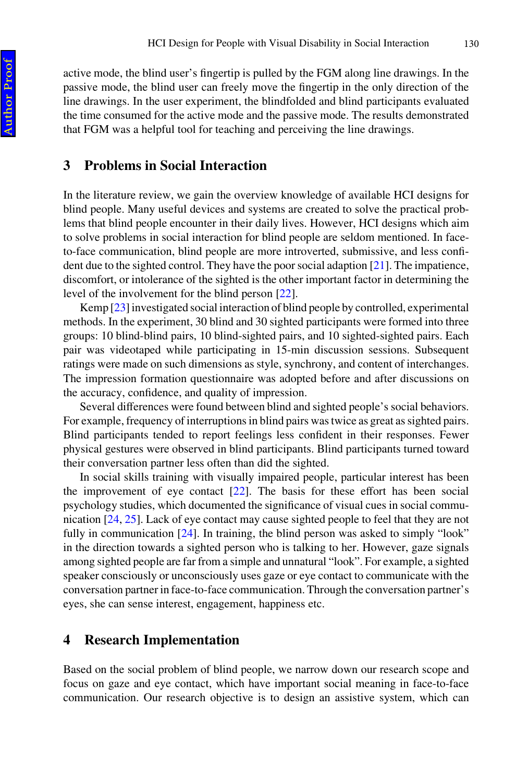active mode, the blind user's fingertip is pulled by the FGM along line drawings. In the passive mode, the blind user can freely move the fingertip in the only direction of the line drawings. In the user experiment, the blindfolded and blind participants evaluated the time consumed for the active mode and the passive mode. The results demonstrated that FGM was a helpful tool for teaching and perceiving the line drawings.

### **3 Problems in Social Interaction**

In the literature review, we gain the overview knowledge of available HCI designs for blind people. Many useful devices and systems are created to solve the practical problems that blind people encounter in their daily lives. However, HCI designs which aim to solve problems in social interaction for blind people are seldom mentioned. In faceto-face communication, blind people are more introverted, submissive, and less confi‐ dent due to the sighted control. They have the poor social adaption [\[21](#page-10-0)]. The impatience, discomfort, or intolerance of the sighted is the other important factor in determining the level of the involvement for the blind person [\[22](#page-10-0)].

Kemp [\[23](#page-10-0)] investigated social interaction of blind people by controlled, experimental methods. In the experiment, 30 blind and 30 sighted participants were formed into three groups: 10 blind-blind pairs, 10 blind-sighted pairs, and 10 sighted-sighted pairs. Each pair was videotaped while participating in 15-min discussion sessions. Subsequent ratings were made on such dimensions as style, synchrony, and content of interchanges. The impression formation questionnaire was adopted before and after discussions on the accuracy, confidence, and quality of impression.

Several differences were found between blind and sighted people's social behaviors. For example, frequency of interruptions in blind pairs was twice as great as sighted pairs. Blind participants tended to report feelings less confident in their responses. Fewer physical gestures were observed in blind participants. Blind participants turned toward their conversation partner less often than did the sighted.

In social skills training with visually impaired people, particular interest has been the improvement of eye contact [[22\]](#page-10-0). The basis for these effort has been social psychology studies, which documented the significance of visual cues in social communication [[24, 25](#page-10-0)]. Lack of eye contact may cause sighted people to feel that they are not fully in communication [\[24](#page-10-0)]. In training, the blind person was asked to simply "look" in the direction towards a sighted person who is talking to her. However, gaze signals among sighted people are far from a simple and unnatural "look". For example, a sighted speaker consciously or unconsciously uses gaze or eye contact to communicate with the conversation partner in face-to-face communication. Through the conversation partner's eyes, she can sense interest, engagement, happiness etc.

### **4 Research Implementation**

Based on the social problem of blind people, we narrow down our research scope and focus on gaze and eye contact, which have important social meaning in face-to-face communication. Our research objective is to design an assistive system, which can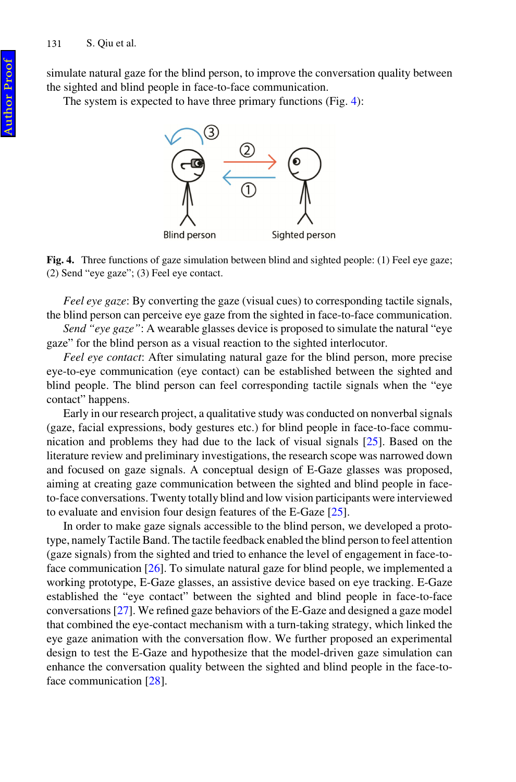simulate natural gaze for the blind person, to improve the conversation quality between the sighted and blind people in face-to-face communication.

The system is expected to have three primary functions (Fig. 4):



**Fig. 4.** Three functions of gaze simulation between blind and sighted people: (1) Feel eye gaze; (2) Send "eye gaze"; (3) Feel eye contact.

*Feel eye gaze*: By converting the gaze (visual cues) to corresponding tactile signals, the blind person can perceive eye gaze from the sighted in face-to-face communication.

*Send "eye gaze"*: A wearable glasses device is proposed to simulate the natural "eye gaze" for the blind person as a visual reaction to the sighted interlocutor.

*Feel eye contact*: After simulating natural gaze for the blind person, more precise eye-to-eye communication (eye contact) can be established between the sighted and blind people. The blind person can feel corresponding tactile signals when the "eye contact" happens.

Early in our research project, a qualitative study was conducted on nonverbal signals (gaze, facial expressions, body gestures etc.) for blind people in face-to-face communication and problems they had due to the lack of visual signals [\[25](#page-10-0)]. Based on the literature review and preliminary investigations, the research scope was narrowed down and focused on gaze signals. A conceptual design of E-Gaze glasses was proposed, aiming at creating gaze communication between the sighted and blind people in faceto-face conversations. Twenty totally blind and low vision participants were interviewed to evaluate and envision four design features of the E-Gaze [\[25](#page-10-0)].

In order to make gaze signals accessible to the blind person, we developed a prototype, namely Tactile Band. The tactile feedback enabled the blind person to feel attention (gaze signals) from the sighted and tried to enhance the level of engagement in face-toface communication [\[26](#page-10-0)]. To simulate natural gaze for blind people, we implemented a working prototype, E-Gaze glasses, an assistive device based on eye tracking. E-Gaze established the "eye contact" between the sighted and blind people in face-to-face conversations [[27\]](#page-10-0). We refined gaze behaviors of the E-Gaze and designed a gaze model that combined the eye-contact mechanism with a turn-taking strategy, which linked the eye gaze animation with the conversation flow. We further proposed an experimental design to test the E-Gaze and hypothesize that the model-driven gaze simulation can enhance the conversation quality between the sighted and blind people in the face-toface communication [[28\]](#page-10-0).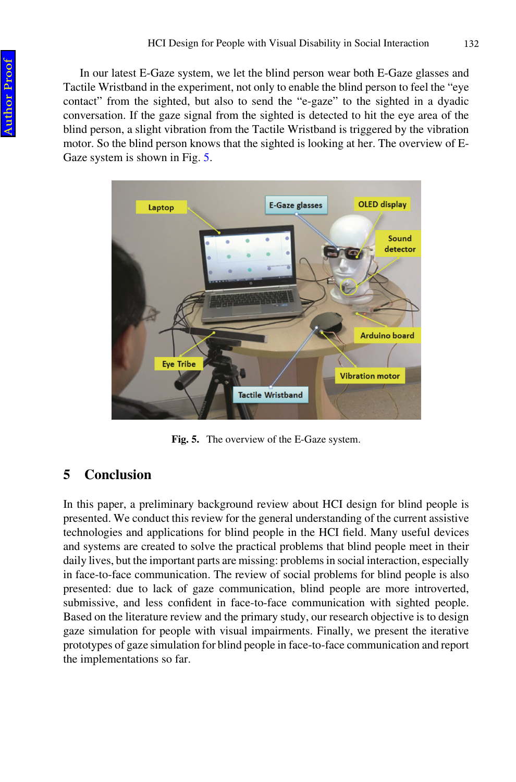In our latest E-Gaze system, we let the blind person wear both E-Gaze glasses and Tactile Wristband in the experiment, not only to enable the blind person to feel the "eye contact" from the sighted, but also to send the "e-gaze" to the sighted in a dyadic conversation. If the gaze signal from the sighted is detected to hit the eye area of the blind person, a slight vibration from the Tactile Wristband is triggered by the vibration motor. So the blind person knows that the sighted is looking at her. The overview of E-Gaze system is shown in Fig. 5.



**Fig. 5.** The overview of the E-Gaze system.

# **5 Conclusion**

In this paper, a preliminary background review about HCI design for blind people is presented. We conduct this review for the general understanding of the current assistive technologies and applications for blind people in the HCI field. Many useful devices and systems are created to solve the practical problems that blind people meet in their daily lives, but the important parts are missing: problems in social interaction, especially in face-to-face communication. The review of social problems for blind people is also presented: due to lack of gaze communication, blind people are more introverted, submissive, and less confident in face-to-face communication with sighted people. Based on the literature review and the primary study, our research objective is to design gaze simulation for people with visual impairments. Finally, we present the iterative prototypes of gaze simulation for blind people in face-to-face communication and report the implementations so far.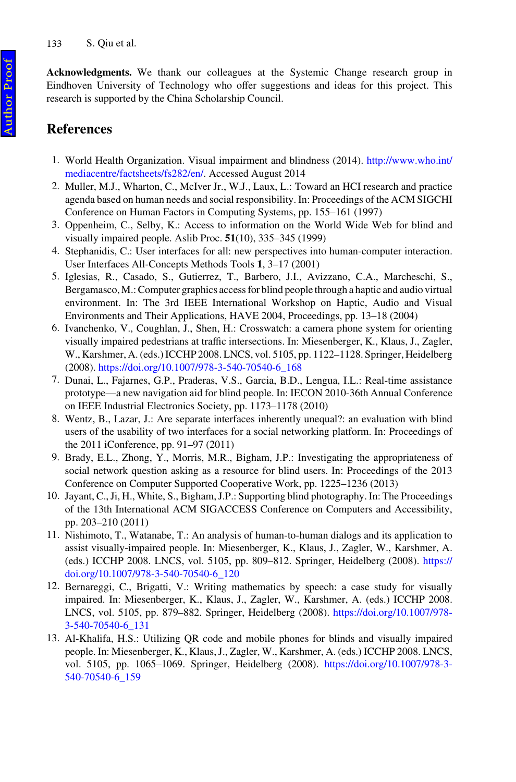<span id="page-9-0"></span>**Acknowledgments.** We thank our colleagues at the Systemic Change research group in Eindhoven University of Technology who offer suggestions and ideas for this project. This research is supported by the China Scholarship Council.

# **References**

- 1. World Health Organization. Visual impairment and blindness (2014). [http://www.who.int/](http://www.who.int/mediacentre/factsheets/fs282/en/) [mediacentre/factsheets/fs282/en/](http://www.who.int/mediacentre/factsheets/fs282/en/). Accessed August 2014
- 2. Muller, M.J., Wharton, C., McIver Jr., W.J., Laux, L.: Toward an HCI research and practice agenda based on human needs and social responsibility. In: Proceedings of the ACM SIGCHI Conference on Human Factors in Computing Systems, pp. 155–161 (1997)
- 3. Oppenheim, C., Selby, K.: Access to information on the World Wide Web for blind and visually impaired people. Aslib Proc. **51**(10), 335–345 (1999)
- 4. Stephanidis, C.: User interfaces for all: new perspectives into human-computer interaction. User Interfaces All-Concepts Methods Tools **1**, 3–17 (2001)
- 5. Iglesias, R., Casado, S., Gutierrez, T., Barbero, J.I., Avizzano, C.A., Marcheschi, S., Bergamasco, M.: Computer graphics access for blind people through a haptic and audio virtual environment. In: The 3rd IEEE International Workshop on Haptic, Audio and Visual Environments and Their Applications, HAVE 2004, Proceedings, pp. 13–18 (2004)
- 6. Ivanchenko, V., Coughlan, J., Shen, H.: Crosswatch: a camera phone system for orienting visually impaired pedestrians at traffic intersections. In: Miesenberger, K., Klaus, J., Zagler, W., Karshmer, A. (eds.) ICCHP 2008. LNCS, vol. 5105, pp. 1122–1128. Springer, Heidelberg (2008). [https://doi.org/10.1007/978-3-540-70540-6\\_168](http://dx.doi.org/10.1007/978-3-540-70540-6_168)
- 7. Dunai, L., Fajarnes, G.P., Praderas, V.S., Garcia, B.D., Lengua, I.L.: Real-time assistance prototype—a new navigation aid for blind people. In: IECON 2010-36th Annual Conference on IEEE Industrial Electronics Society, pp. 1173–1178 (2010)
- 8. Wentz, B., Lazar, J.: Are separate interfaces inherently unequal?: an evaluation with blind users of the usability of two interfaces for a social networking platform. In: Proceedings of the 2011 iConference, pp. 91–97 (2011)
- 9. Brady, E.L., Zhong, Y., Morris, M.R., Bigham, J.P.: Investigating the appropriateness of social network question asking as a resource for blind users. In: Proceedings of the 2013 Conference on Computer Supported Cooperative Work, pp. 1225–1236 (2013)
- 10. Jayant, C., Ji, H., White, S., Bigham, J.P.: Supporting blind photography. In: The Proceedings of the 13th International ACM SIGACCESS Conference on Computers and Accessibility, pp. 203–210 (2011)
- 11. Nishimoto, T., Watanabe, T.: An analysis of human-to-human dialogs and its application to assist visually-impaired people. In: Miesenberger, K., Klaus, J., Zagler, W., Karshmer, A. (eds.) ICCHP 2008. LNCS, vol. 5105, pp. 809–812. Springer, Heidelberg (2008). [https://](http://dx.doi.org/10.1007/978-3-540-70540-6_120) [doi.org/10.1007/978-3-540-70540-6\\_120](http://dx.doi.org/10.1007/978-3-540-70540-6_120)
- 12. Bernareggi, C., Brigatti, V.: Writing mathematics by speech: a case study for visually impaired. In: Miesenberger, K., Klaus, J., Zagler, W., Karshmer, A. (eds.) ICCHP 2008. LNCS, vol. 5105, pp. 879–882. Springer, Heidelberg (2008). [https://doi.org/10.1007/978-](http://dx.doi.org/10.1007/978-3-540-70540-6_131) [3-540-70540-6\\_131](http://dx.doi.org/10.1007/978-3-540-70540-6_131)
- 13. Al-Khalifa, H.S.: Utilizing QR code and mobile phones for blinds and visually impaired people. In: Miesenberger, K., Klaus, J., Zagler, W., Karshmer, A. (eds.) ICCHP 2008. LNCS, vol. 5105, pp. 1065–1069. Springer, Heidelberg (2008). [https://doi.org/10.1007/978-3-](http://dx.doi.org/10.1007/978-3-540-70540-6_159) [540-70540-6\\_159](http://dx.doi.org/10.1007/978-3-540-70540-6_159)